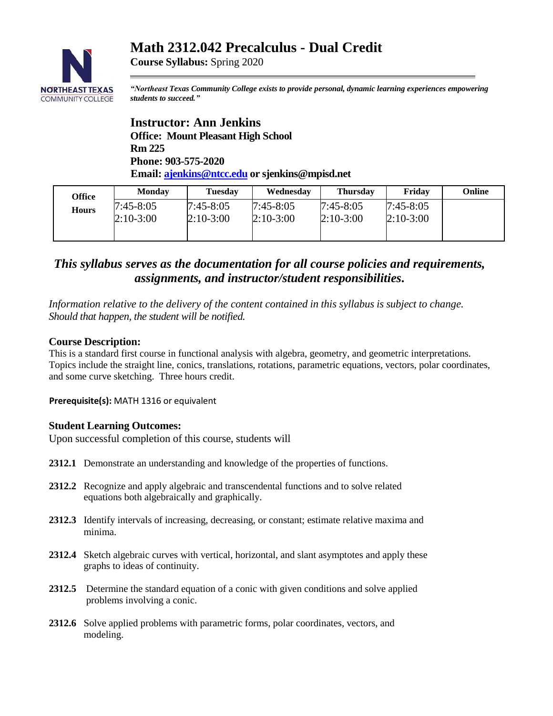# **Math 2312.042 Precalculus - Dual Credit**



**Course Syllabus:** Spring 2020

*"Northeast Texas Community College exists to provide personal, dynamic learning experiences empowering students to succeed."*

**Instructor: Ann Jenkins Office: Mount Pleasant High School Rm 225 Phone: 903-575-2020 Email: [ajenkins@ntcc.edu](mailto:ajenkins@ntcc.edu) or sjenkins@mpisd.net**

| Office       | <b>Monday</b>              | Tuesdav                  | Wednesday                  | <b>Thursday</b>            | Friday                     | Online |
|--------------|----------------------------|--------------------------|----------------------------|----------------------------|----------------------------|--------|
| <b>Hours</b> | $7:45-8:05$<br>$2:10-3:00$ | 7:45-8:05<br>$2:10-3:00$ | $7:45-8:05$<br>$2:10-3:00$ | $7:45-8:05$<br>$2:10-3:00$ | $7:45-8:05$<br>$2:10-3:00$ |        |
|              |                            |                          |                            |                            |                            |        |

## *This syllabus serves as the documentation for all course policies and requirements, assignments, and instructor/student responsibilities.*

*Information relative to the delivery of the content contained in this syllabus is subject to change. Should that happen, the student will be notified.*

### **Course Description:**

This is a standard first course in functional analysis with algebra, geometry, and geometric interpretations. Topics include the straight line, conics, translations, rotations, parametric equations, vectors, polar coordinates, and some curve sketching. Three hours credit.

**Prerequisite(s):** MATH 1316 or equivalent

## **Student Learning Outcomes:**

Upon successful completion of this course, students will

- **2312.1** Demonstrate an understanding and knowledge of the properties of functions.
- **2312.2** Recognize and apply algebraic and transcendental functions and to solve related equations both algebraically and graphically.
- **2312.3** Identify intervals of increasing, decreasing, or constant; estimate relative maxima and minima.
- **2312.4** Sketch algebraic curves with vertical, horizontal, and slant asymptotes and apply these graphs to ideas of continuity.
- **2312.5** Determine the standard equation of a conic with given conditions and solve applied problems involving a conic.
- **2312.6** Solve applied problems with parametric forms, polar coordinates, vectors, and modeling.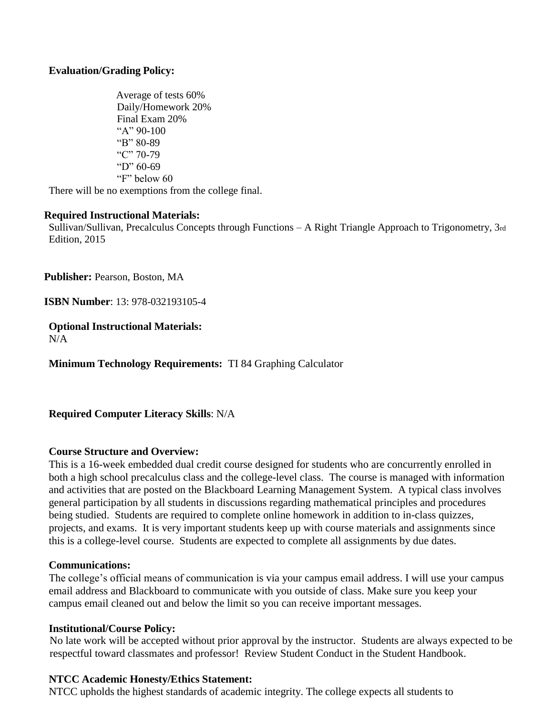## **Evaluation/Grading Policy:**

 Average of tests 60% Daily/Homework 20% Final Exam 20% "A" 90-100 "B" 80-89 "C" 70-79 "D" 60-69 "F" below 60 There will be no exemptions from the college final.

# **Required Instructional Materials:**

Sullivan/Sullivan, Precalculus Concepts through Functions – A Right Triangle Approach to Trigonometry, 3rd Edition, 2015

**Publisher:** Pearson, Boston, MA

**ISBN Number**: 13: 978-032193105-4

**Optional Instructional Materials:**  $N/A$ 

**Minimum Technology Requirements:** TI 84 Graphing Calculator

**Required Computer Literacy Skills**: N/A

#### **Course Structure and Overview:**

This is a 16-week embedded dual credit course designed for students who are concurrently enrolled in both a high school precalculus class and the college-level class. The course is managed with information and activities that are posted on the Blackboard Learning Management System. A typical class involves general participation by all students in discussions regarding mathematical principles and procedures being studied. Students are required to complete online homework in addition to in-class quizzes, projects, and exams. It is very important students keep up with course materials and assignments since this is a college-level course. Students are expected to complete all assignments by due dates.

#### **Communications:**

The college's official means of communication is via your campus email address. I will use your campus email address and Blackboard to communicate with you outside of class. Make sure you keep your campus email cleaned out and below the limit so you can receive important messages.

#### **Institutional/Course Policy:**

 No late work will be accepted without prior approval by the instructor. Students are always expected to be respectful toward classmates and professor! Review Student Conduct in the Student Handbook.

#### **NTCC Academic Honesty/Ethics Statement:**

NTCC upholds the highest standards of academic integrity. The college expects all students to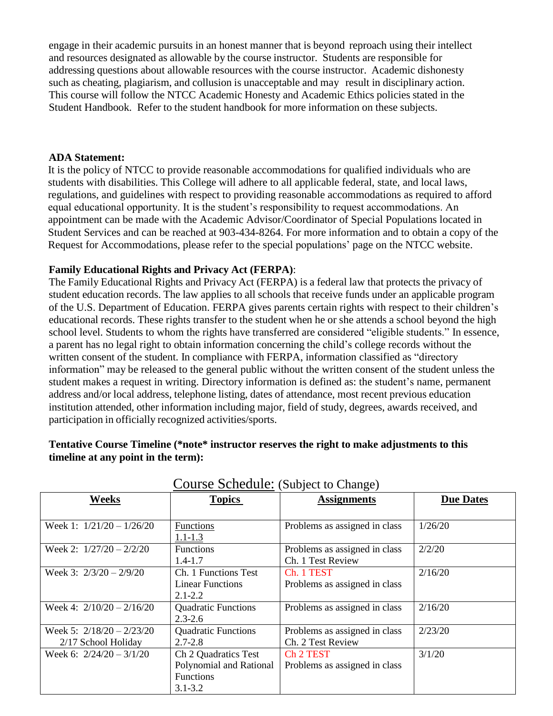engage in their academic pursuits in an honest manner that is beyond reproach using their intellect and resources designated as allowable by the course instructor. Students are responsible for addressing questions about allowable resources with the course instructor. Academic dishonesty such as cheating, plagiarism, and collusion is unacceptable and may result in disciplinary action. This course will follow the NTCC Academic Honesty and Academic Ethics policies stated in the Student Handbook. Refer to the student handbook for more information on these subjects.

#### **ADA Statement:**

It is the policy of NTCC to provide reasonable accommodations for qualified individuals who are students with disabilities. This College will adhere to all applicable federal, state, and local laws, regulations, and guidelines with respect to providing reasonable accommodations as required to afford equal educational opportunity. It is the student's responsibility to request accommodations. An appointment can be made with the Academic Advisor/Coordinator of Special Populations located in Student Services and can be reached at 903-434-8264. For more information and to obtain a copy of the Request for Accommodations, please refer to the special populations' page on the NTCC websit[e.](http://www.ntcc.edu/index.php?module=Pagesetter&func=viewpub&tid=111&pid=1) 

### **Family Educational Rights and Privacy Act (FERPA)**:

The Family Educational Rights and Privacy Act (FERPA) is a federal law that protects the privacy of student education records. The law applies to all schools that receive funds under an applicable program of the U.S. Department of Education. FERPA gives parents certain rights with respect to their children's educational records. These rights transfer to the student when he or she attends a school beyond the high school level. Students to whom the rights have transferred are considered "eligible students." In essence, a parent has no legal right to obtain information concerning the child's college records without the written consent of the student. In compliance with FERPA, information classified as "directory information" may be released to the general public without the written consent of the student unless the student makes a request in writing. Directory information is defined as: the student's name, permanent address and/or local address, telephone listing, dates of attendance, most recent previous education institution attended, other information including major, field of study, degrees, awards received, and participation in officially recognized activities/sports.

## **Tentative Course Timeline (\*note\* instructor reserves the right to make adjustments to this timeline at any point in the term):**

| <b>Weeks</b>                | <b>Topics</b>              | <b>Assignments</b>            | <b>Due Dates</b> |
|-----------------------------|----------------------------|-------------------------------|------------------|
|                             |                            |                               |                  |
|                             |                            |                               |                  |
| Week 1: $1/21/20 - 1/26/20$ | Functions                  | Problems as assigned in class | 1/26/20          |
|                             | $1.1 - 1.3$                |                               |                  |
| Week 2: $1/27/20 - 2/2/20$  | <b>Functions</b>           | Problems as assigned in class | 2/2/20           |
|                             | $1.4 - 1.7$                | Ch. 1 Test Review             |                  |
| Week 3: $2/3/20 - 2/9/20$   | Ch. 1 Functions Test       | Ch. 1 TEST                    | 2/16/20          |
|                             | <b>Linear Functions</b>    | Problems as assigned in class |                  |
|                             | $2.1 - 2.2$                |                               |                  |
| Week 4: $2/10/20 - 2/16/20$ | <b>Quadratic Functions</b> | Problems as assigned in class | 2/16/20          |
|                             | $2.3 - 2.6$                |                               |                  |
| Week 5: $2/18/20 - 2/23/20$ | <b>Quadratic Functions</b> | Problems as assigned in class | 2/23/20          |
| 2/17 School Holiday         | $2.7 - 2.8$                | Ch. 2 Test Review             |                  |
| Week 6: $2/24/20 - 3/1/20$  | Ch 2 Quadratics Test       | Ch 2 TEST                     | 3/1/20           |
|                             | Polynomial and Rational    | Problems as assigned in class |                  |
|                             | <b>Functions</b>           |                               |                  |
|                             | $3.1 - 3.2$                |                               |                  |

## Course Schedule: (Subject to Change)